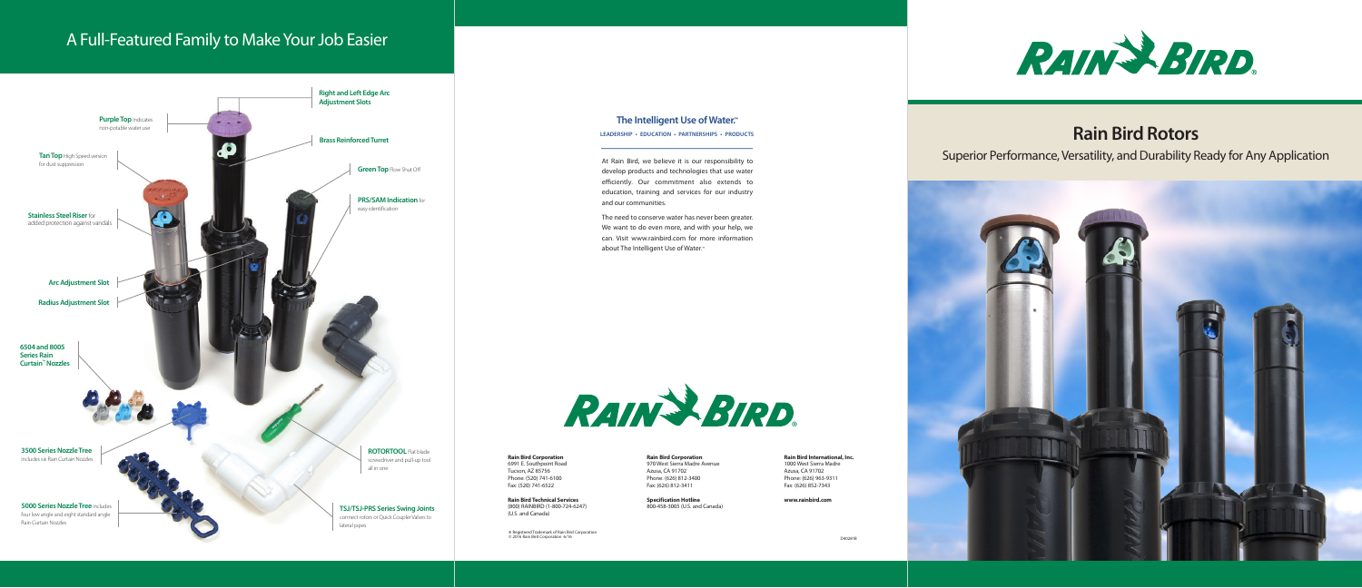# **Rain Bird Rotors**

Superior Performance, Versatility, and Durability Ready for Any Application



D40281B



**Rain Bird Corporation** 6991 E. Southpoint Road Tucson, AZ 85756 Phone: (520) 741-6100 Fax: (520) 741-6522

**Rain Bird Technical Services** (800) RAINBIRD (1-800-724-6247) (U.S. and Canada)

**Rain Bird Corporation** 970 West Sierra Madre Avenue Azusa, CA 91702 Phone: (626) 812-3400 Fax: (626) 812-3411

**Specification Hotline** 800-458-3005 (U.S. and Canada)

**Rain Bird International, Inc.** 1000 West Sierra Madre Azusa, CA 91702 Phone: (626) 963-9311 Fax: (626) 852-7343

**www.rainbird.com**

® Registered Trademark of Rain Bird Corporation © 2016 Rain Bird Corporation 6/16



At Rain Bird, we believe it is our responsibility to develop products and technologies that use water efficiently. Our commitment also extends to education, training and services for our industry

and our communities.

about The Intelligent Use of Water.<sup>™</sup>



The need to conserve water has never been greater. We want to do even more, and with your help, we can. Visit www.rainbird.com for more information

#### **The Intelligent Use of Water.™**

**LEADERSHIP • EDUCATION • PARTNERSHIPS • PRODUCTS**



# A Full-Featured Family to Make Your Job Easier